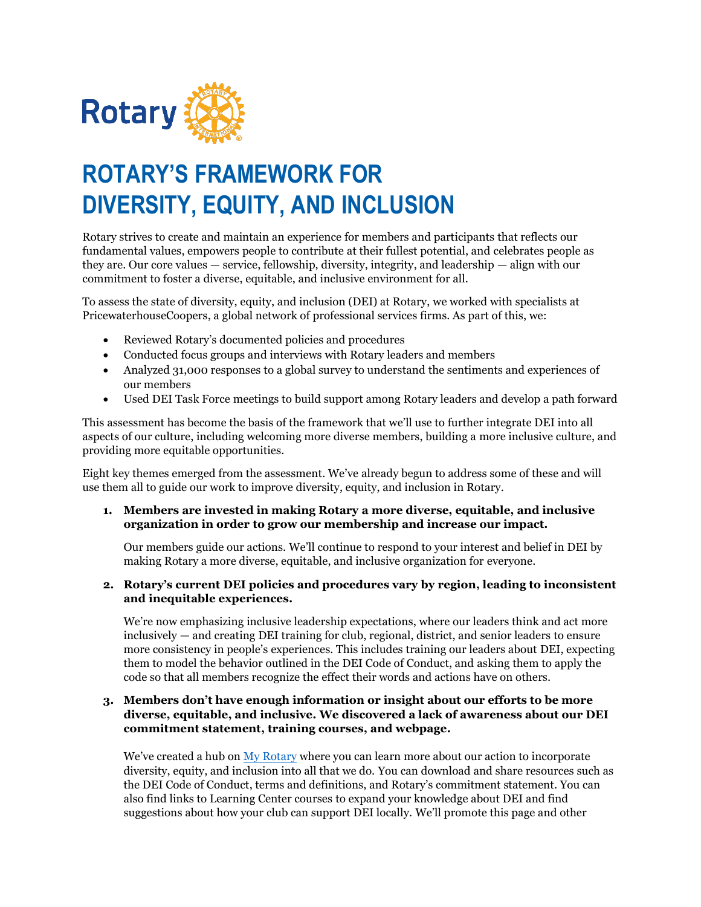

# **ROTARY'S FRAMEWORK FOR DIVERSITY, EQUITY, AND INCLUSION**

Rotary strives to create and maintain an experience for members and participants that reflects our fundamental values, empowers people to contribute at their fullest potential, and celebrates people as they are. Our core values — service, fellowship, diversity, integrity, and leadership — align with our commitment to foster a diverse, equitable, and inclusive environment for all.

To assess the state of diversity, equity, and inclusion (DEI) at Rotary, we worked with specialists at PricewaterhouseCoopers, a global network of professional services firms. As part of this, we:

- Reviewed Rotary's documented policies and procedures
- Conducted focus groups and interviews with Rotary leaders and members
- Analyzed 31,000 responses to a global survey to understand the sentiments and experiences of our members
- Used DEI Task Force meetings to build support among Rotary leaders and develop a path forward

This assessment has become the basis of the framework that we'll use to further integrate DEI into all aspects of our culture, including welcoming more diverse members, building a more inclusive culture, and providing more equitable opportunities.

Eight key themes emerged from the assessment. We've already begun to address some of these and will use them all to guide our work to improve diversity, equity, and inclusion in Rotary.

**1. Members are invested in making Rotary a more diverse, equitable, and inclusive organization in order to grow our membership and increase our impact.**

Our members guide our actions. We'll continue to respond to your interest and belief in DEI by making Rotary a more diverse, equitable, and inclusive organization for everyone.

**2. Rotary's current DEI policies and procedures vary by region, leading to inconsistent and inequitable experiences.**

We're now emphasizing inclusive leadership expectations, where our leaders think and act more inclusively — and creating DEI training for club, regional, district, and senior leaders to ensure more consistency in people's experiences. This includes training our leaders about DEI, expecting them to model the behavior outlined in the DEI Code of Conduct, and asking them to apply the code so that all members recognize the effect their words and actions have on others.

## **3. Members don't have enough information or insight about our efforts to be more diverse, equitable, and inclusive. We discovered a lack of awareness about our DEI commitment statement, training courses, and webpage.**

We've created a hub on [My Rotary](https://my.rotary.org/en/learning-reference/about-rotary/diversity-equity-and-inclusion) where you can learn more about our action to incorporate diversity, equity, and inclusion into all that we do. You can download and share resources such as the DEI Code of Conduct, terms and definitions, and Rotary's commitment statement. You can also find links to Learning Center courses to expand your knowledge about DEI and find suggestions about how your club can support DEI locally. We'll promote this page and other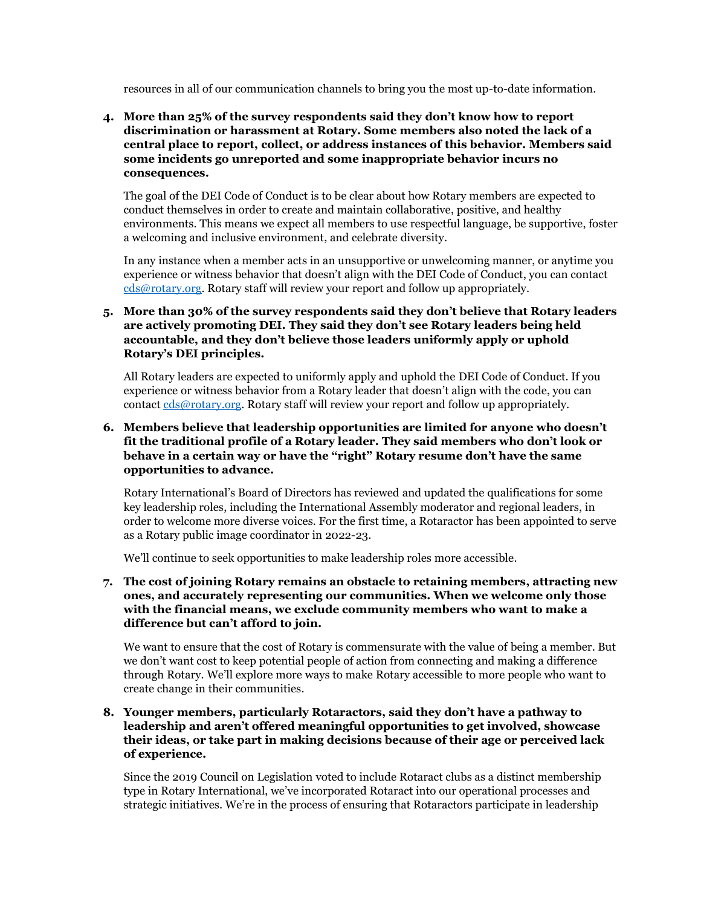resources in all of our communication channels to bring you the most up-to-date information.

**4. More than 25% of the survey respondents said they don't know how to report discrimination or harassment at Rotary. Some members also noted the lack of a central place to report, collect, or address instances of this behavior. Members said some incidents go unreported and some inappropriate behavior incurs no consequences.**

The goal of the DEI Code of Conduct is to be clear about how Rotary members are expected to conduct themselves in order to create and maintain collaborative, positive, and healthy environments. This means we expect all members to use respectful language, be supportive, foster a welcoming and inclusive environment, and celebrate diversity.

In any instance when a member acts in an unsupportive or unwelcoming manner, or anytime you experience or witness behavior that doesn't align with the DEI Code of Conduct, you can contact [cds@rotary.org.](mailto:CDS@rotary.org) Rotary staff will review your report and follow up appropriately.

# **5. More than 30% of the survey respondents said they don't believe that Rotary leaders are actively promoting DEI. They said they don't see Rotary leaders being held accountable, and they don't believe those leaders uniformly apply or uphold Rotary's DEI principles.**

All Rotary leaders are expected to uniformly apply and uphold the DEI Code of Conduct. If you experience or witness behavior from a Rotary leader that doesn't align with the code, you can contac[t cds@rotary.org.](mailto:CDS@rotary.org) Rotary staff will review your report and follow up appropriately.

## **6. Members believe that leadership opportunities are limited for anyone who doesn't fit the traditional profile of a Rotary leader. They said members who don't look or behave in a certain way or have the "right" Rotary resume don't have the same opportunities to advance.**

Rotary International's Board of Directors has reviewed and updated the qualifications for some key leadership roles, including the International Assembly moderator and regional leaders, in order to welcome more diverse voices. For the first time, a Rotaractor has been appointed to serve as a Rotary public image coordinator in 2022-23.

We'll continue to seek opportunities to make leadership roles more accessible.

**7. The cost of joining Rotary remains an obstacle to retaining members, attracting new ones, and accurately representing our communities. When we welcome only those with the financial means, we exclude community members who want to make a difference but can't afford to join.**

We want to ensure that the cost of Rotary is commensurate with the value of being a member. But we don't want cost to keep potential people of action from connecting and making a difference through Rotary. We'll explore more ways to make Rotary accessible to more people who want to create change in their communities.

#### **8. Younger members, particularly Rotaractors, said they don't have a pathway to leadership and aren't offered meaningful opportunities to get involved, showcase their ideas, or take part in making decisions because of their age or perceived lack of experience.**

Since the 2019 Council on Legislation voted to include Rotaract clubs as a distinct membership type in Rotary International, we've incorporated Rotaract into our operational processes and strategic initiatives. We're in the process of ensuring that Rotaractors participate in leadership